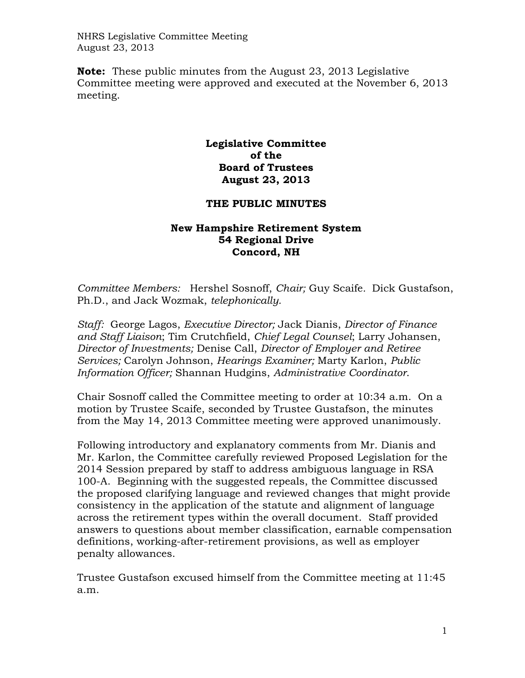NHRS Legislative Committee Meeting August 23, 2013

**Note:** These public minutes from the August 23, 2013 Legislative Committee meeting were approved and executed at the November 6, 2013 meeting.

## **Legislative Committee of the Board of Trustees August 23, 2013**

## **THE PUBLIC MINUTES**

## **New Hampshire Retirement System 54 Regional Drive Concord, NH**

*Committee Members:* Hershel Sosnoff, *Chair;* Guy Scaife*.* Dick Gustafson, Ph.D., and Jack Wozmak, *telephonically.*

*Staff:* George Lagos, *Executive Director;* Jack Dianis, *Director of Finance and Staff Liaison*; Tim Crutchfield, *Chief Legal Counsel*; Larry Johansen, *Director of Investments;* Denise Call, *Director of Employer and Retiree Services;* Carolyn Johnson, *Hearings Examiner;* Marty Karlon, *Public Information Officer;* Shannan Hudgins, *Administrative Coordinator*.

Chair Sosnoff called the Committee meeting to order at 10:34 a.m. On a motion by Trustee Scaife, seconded by Trustee Gustafson, the minutes from the May 14, 2013 Committee meeting were approved unanimously.

Following introductory and explanatory comments from Mr. Dianis and Mr. Karlon, the Committee carefully reviewed Proposed Legislation for the 2014 Session prepared by staff to address ambiguous language in RSA 100-A. Beginning with the suggested repeals, the Committee discussed the proposed clarifying language and reviewed changes that might provide consistency in the application of the statute and alignment of language across the retirement types within the overall document. Staff provided answers to questions about member classification, earnable compensation definitions, working-after-retirement provisions, as well as employer penalty allowances.

Trustee Gustafson excused himself from the Committee meeting at 11:45 a.m.